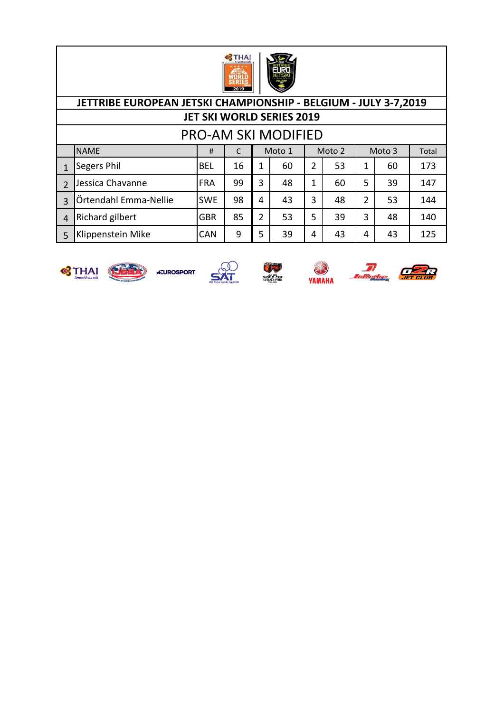

# PRO-AM SKI MODIFIED

|   | <b>NAME</b>            | #          |    |   | Moto 1 |   | Moto 2 |   | Moto 3 | Total |
|---|------------------------|------------|----|---|--------|---|--------|---|--------|-------|
|   | <b>Segers Phil</b>     | <b>BEL</b> | 16 |   | 60     | 2 | 53     |   | 60     | 173   |
|   | Jessica Chavanne       | <b>FRA</b> | 99 | 3 | 48     | 1 | 60     | 5 | 39     | 147   |
| 3 | Örtendahl Emma-Nellie  | <b>SWE</b> | 98 | 4 | 43     | 3 | 48     | 2 | 53     | 144   |
|   | <b>Richard gilbert</b> | <b>GBR</b> | 85 | 2 | 53     | 5 | 39     | 3 | 48     | 140   |
|   | Klippenstein Mike      | <b>CAN</b> | 9  | 5 | 39     | 4 | 43     | 4 | 43     | 125   |









YAMAHA

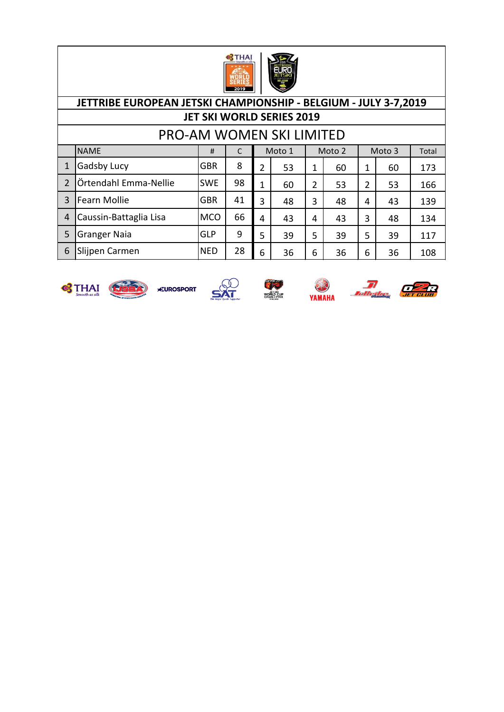

#### NAME # C Total 1 Gadsby Lucy GBR | 8 | 2 | 53 | 1 | 60 | 1 | 60 | 173 2 Örtendahl Emma-Nellie | SWE | 98 | 1 | 60 | 2 | 53 | 2 | 53 | 166 PRO-AM WOMEN SKI LIMITED Moto 1 | Moto 2 | Moto 3 **JETTRIBE EUROPEAN JETSKI CHAMPIONSHIP - BELGIUM - JULY 3-7,2019 JET SKI WORLD SERIES 2019**

3 Fearn Mollie GBR | 41 | 3 | 48 | 3 | 48 | 4 | 43 | 139

4 Caussin-Battaglia Lisa | MCO | 66 | 4 | 43 | 41 | 43 | 3 | 48 | 134

5 Granger Naia (GLP | 9 | 5 | 39 | 5 | 39 | 5 | 39 | 117 6 Slijpen Carmen NED | 28 | 6 | 36 | 6 | 36 | 36 | 108











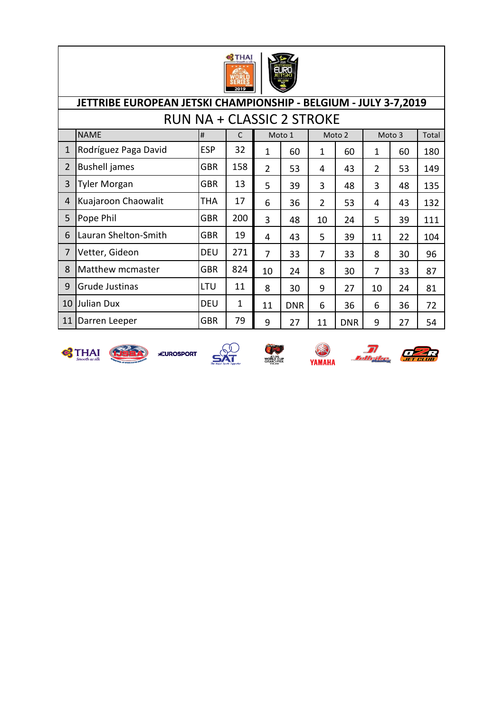

|                | JETTRIBE EUROPEAN JETSKI CHAMPIONSHIP - BELGIUM - JULY 3-7,2019 |            |              |                |            |                |            |                |        |       |  |  |  |  |
|----------------|-----------------------------------------------------------------|------------|--------------|----------------|------------|----------------|------------|----------------|--------|-------|--|--|--|--|
|                | <b>RUN NA + CLASSIC 2 STROKE</b>                                |            |              |                |            |                |            |                |        |       |  |  |  |  |
|                | <b>NAME</b>                                                     | #          | $\mathsf{C}$ |                | Moto 1     |                | Moto 2     |                | Moto 3 | Total |  |  |  |  |
| 1              | Rodríguez Paga David                                            | <b>ESP</b> | 32           | $\mathbf 1$    | 60         | 1              | 60         | 1              | 60     | 180   |  |  |  |  |
| $\overline{2}$ | <b>Bushell</b> james                                            | <b>GBR</b> | 158          | $\overline{2}$ | 53         | 4              | 43         | $\overline{2}$ | 53     | 149   |  |  |  |  |
| 3              | <b>Tyler Morgan</b>                                             | <b>GBR</b> | 13           | 5              | 39         | 3              | 48         | 3              | 48     | 135   |  |  |  |  |
| 4              | Kuajaroon Chaowalit                                             | <b>THA</b> | 17           | 6              | 36         | $\overline{2}$ | 53         | 4              | 43     | 132   |  |  |  |  |
| 5              | Pope Phil                                                       | <b>GBR</b> | 200          | 3              | 48         | 10             | 24         | 5              | 39     | 111   |  |  |  |  |
| 6              | Lauran Shelton-Smith                                            | <b>GBR</b> | 19           | 4              | 43         | 5              | 39         | 11             | 22     | 104   |  |  |  |  |
| $\overline{7}$ | Vetter, Gideon                                                  | <b>DEU</b> | 271          | 7              | 33         | 7              | 33         | 8              | 30     | 96    |  |  |  |  |
| 8              | Matthew mcmaster                                                | GBR        | 824          | 10             | 24         | 8              | 30         | $\overline{7}$ | 33     | 87    |  |  |  |  |
| 9              | Grude Justinas                                                  | LTU        | 11           | 8              | 30         | 9              | 27         | 10             | 24     | 81    |  |  |  |  |
| 10             | <b>Julian Dux</b>                                               | <b>DEU</b> | 1            | 11             | <b>DNR</b> | 6              | 36         | 6              | 36     | 72    |  |  |  |  |
| 11             | Darren Leeper                                                   | GBR        | 79           | 9              | 27         | 11             | <b>DNR</b> | 9              | 27     | 54    |  |  |  |  |













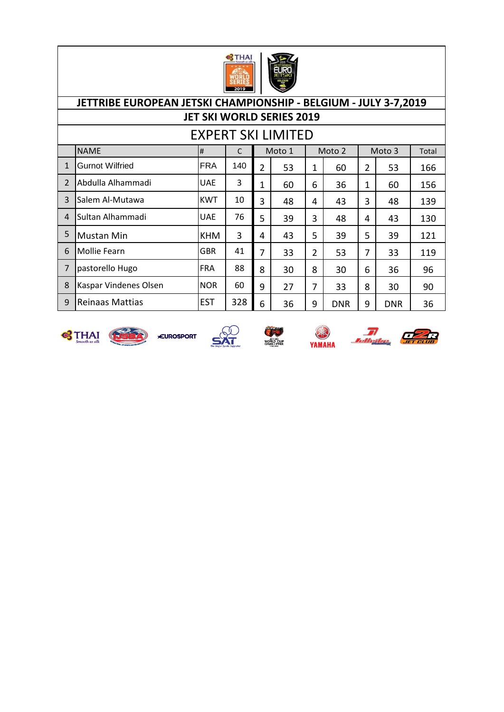

|                          |                        |            |     |                | <b>EXPERT SKI LIMITED</b> |                |            |                |            |       |
|--------------------------|------------------------|------------|-----|----------------|---------------------------|----------------|------------|----------------|------------|-------|
|                          | <b>NAME</b>            | #          | C   |                | Moto 1                    |                | Moto 2     |                | Moto 3     | Total |
| $\mathbf{1}$             | <b>Gurnot Wilfried</b> | <b>FRA</b> | 140 | $\overline{2}$ | 53                        | 1              | 60         | $\overline{2}$ | 53         | 166   |
| $\overline{\phantom{0}}$ | Abdulla Alhammadi      | <b>UAE</b> | 3   | 1              | 60                        | 6              | 36         | 1              | 60         | 156   |
| $\overline{3}$           | Salem Al-Mutawa        | <b>KWT</b> | 10  | 3              | 48                        | 4              | 43         | 3              | 48         | 139   |
| $\overline{4}$           | Sultan Alhammadi       | <b>UAE</b> | 76  | 5              | 39                        | 3              | 48         | 4              | 43         | 130   |
| 5                        | <b>Mustan Min</b>      | <b>KHM</b> | 3   | 4              | 43                        | 5              | 39         | 5              | 39         | 121   |
| 6                        | <b>Mollie Fearn</b>    | <b>GBR</b> | 41  | 7              | 33                        | $\overline{2}$ | 53         | 7              | 33         | 119   |
| $\overline{7}$           | pastorello Hugo        | <b>FRA</b> | 88  | 8              | 30                        | 8              | 30         | 6              | 36         | 96    |
| 8                        | Kaspar Vindenes Olsen  | <b>NOR</b> | 60  | 9              | 27                        | 7              | 33         | 8              | 30         | 90    |
| 9                        | <b>Reinaas Mattias</b> | <b>EST</b> | 328 | 6              | 36                        | 9              | <b>DNR</b> | 9              | <b>DNR</b> | 36    |











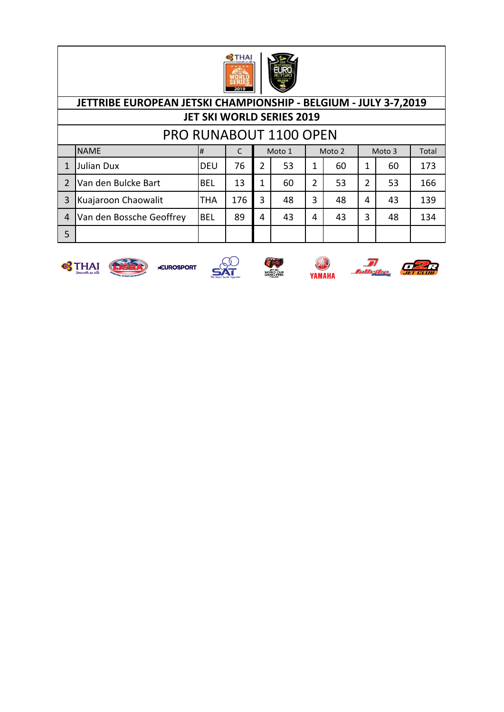

|                | JETTRIBE EUROPEAN JETSKI CHAMPIONSHIP - BELGIUM - JULY 3-7,2019 |            |     |               |    |                |    |   |    |     |  |  |  |  |
|----------------|-----------------------------------------------------------------|------------|-----|---------------|----|----------------|----|---|----|-----|--|--|--|--|
|                | <b>JET SKI WORLD SERIES 2019</b>                                |            |     |               |    |                |    |   |    |     |  |  |  |  |
|                | <b>PRO RUNABOUT 1100 OPEN</b>                                   |            |     |               |    |                |    |   |    |     |  |  |  |  |
|                | <b>NAME</b><br>Moto 1<br>Moto 2<br>Moto 3<br>Total<br>#<br>C    |            |     |               |    |                |    |   |    |     |  |  |  |  |
| 1              | <b>Julian Dux</b>                                               | <b>DEU</b> | 76  | $\mathcal{P}$ | 53 | 1              | 60 | 1 | 60 | 173 |  |  |  |  |
| 2              | Van den Bulcke Bart                                             | <b>BEL</b> | 13  | 1             | 60 | $\overline{2}$ | 53 | 2 | 53 | 166 |  |  |  |  |
| 3              | Kuajaroon Chaowalit                                             | THA        | 176 | 3             | 48 | 3              | 48 | 4 | 43 | 139 |  |  |  |  |
| $\overline{4}$ | Van den Bossche Geoffrey                                        | <b>BEL</b> | 89  | 4             | 43 | 4              | 43 | 3 | 48 | 134 |  |  |  |  |
| 5              |                                                                 |            |     |               |    |                |    |   |    |     |  |  |  |  |









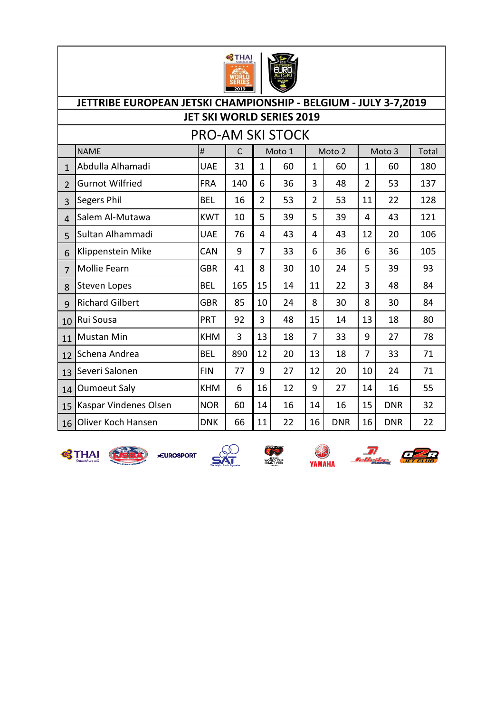

|                | JETTRIBE EUROPEAN JETSKI CHAMPIONSHIP - BELGIUM - JULY 3-7,2019<br><b>JET SKI WORLD SERIES 2019</b> |            |              |                |                         |                |            |                |            |       |  |  |  |
|----------------|-----------------------------------------------------------------------------------------------------|------------|--------------|----------------|-------------------------|----------------|------------|----------------|------------|-------|--|--|--|
|                |                                                                                                     |            |              |                |                         |                |            |                |            |       |  |  |  |
|                |                                                                                                     |            |              |                | <b>PRO-AM SKI STOCK</b> |                |            |                |            |       |  |  |  |
|                | <b>NAME</b>                                                                                         | #          | $\mathsf{C}$ |                | Moto 1                  |                | Moto 2     |                | Moto 3     | Total |  |  |  |
| $\mathbf{1}$   | Abdulla Alhamadi                                                                                    | <b>UAE</b> | 31           | $\mathbf{1}$   | 60                      | $\mathbf{1}$   | 60         | $\mathbf{1}$   | 60         | 180   |  |  |  |
| $\overline{2}$ | <b>Gurnot Wilfried</b>                                                                              | <b>FRA</b> | 140          | 6              | 36                      | 3              | 48         | $\overline{2}$ | 53         | 137   |  |  |  |
| 3              | Segers Phil                                                                                         | <b>BEL</b> | 16           | $\overline{2}$ | 53                      | $\overline{2}$ | 53         | 11             | 22         | 128   |  |  |  |
| 4              | Salem Al-Mutawa                                                                                     | <b>KWT</b> | 10           | 5              | 39                      | 5              | 39         | 4              | 43         | 121   |  |  |  |
| 5              | Sultan Alhammadi                                                                                    | <b>UAE</b> | 76           | 4              | 43                      | 4              | 43         | 12             | 20         | 106   |  |  |  |
| 6              | Klippenstein Mike                                                                                   | <b>CAN</b> | 9            | $\overline{7}$ | 33                      | 6              | 36         | 6              | 36         | 105   |  |  |  |
| $\overline{7}$ | Mollie Fearn                                                                                        | <b>GBR</b> | 41           | 8              | 30                      | 10             | 24         | 5              | 39         | 93    |  |  |  |
| 8              | <b>Steven Lopes</b>                                                                                 | <b>BEL</b> | 165          | 15             | 14                      | 11             | 22         | 3              | 48         | 84    |  |  |  |
| 9              | <b>Richard Gilbert</b>                                                                              | <b>GBR</b> | 85           | 10             | 24                      | 8              | 30         | 8              | 30         | 84    |  |  |  |
| 10             | Rui Sousa                                                                                           | PRT        | 92           | 3              | 48                      | 15             | 14         | 13             | 18         | 80    |  |  |  |
| 11             | <b>Mustan Min</b>                                                                                   | <b>KHM</b> | 3            | 13             | 18                      | $\overline{7}$ | 33         | 9              | 27         | 78    |  |  |  |
| 12             | Schena Andrea                                                                                       | <b>BEL</b> | 890          | 12             | 20                      | 13             | 18         | $\overline{7}$ | 33         | 71    |  |  |  |
| 13             | Severi Salonen                                                                                      | <b>FIN</b> | 77           | 9              | 27                      | 12             | 20         | 10             | 24         | 71    |  |  |  |
| 14             | <b>Oumoeut Saly</b>                                                                                 | <b>KHM</b> | 6            | 16             | 12                      | 9              | 27         | 14             | 16         | 55    |  |  |  |
| 15             | Kaspar Vindenes Olsen                                                                               | <b>NOR</b> | 60           | 14             | 16                      | 14             | 16         | 15             | <b>DNR</b> | 32    |  |  |  |
| 16             | Oliver Koch Hansen                                                                                  | <b>DNK</b> | 66           | 11             | 22                      | 16             | <b>DNR</b> | 16             | <b>DNR</b> | 22    |  |  |  |













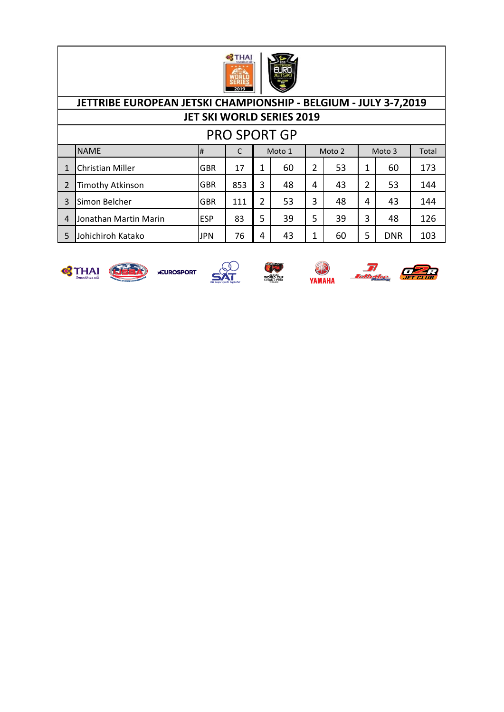

| <b>PRO SPORT GP</b>                            |                         |            |     |   |    |   |    |   |            |       |  |
|------------------------------------------------|-------------------------|------------|-----|---|----|---|----|---|------------|-------|--|
| <b>NAME</b><br>Moto 1<br>Moto 2<br>#<br>Moto 3 |                         |            |     |   |    |   |    |   |            | Total |  |
|                                                | <b>Christian Miller</b> | <b>GBR</b> | 17  |   | 60 | 2 | 53 | 1 | 60         | 173   |  |
| $\mathfrak{p}$                                 | <b>Timothy Atkinson</b> | <b>GBR</b> | 853 | 3 | 48 | 4 | 43 | 2 | 53         | 144   |  |
| 3                                              | Simon Belcher           | <b>GBR</b> | 111 | 2 | 53 | 3 | 48 | 4 | 43         | 144   |  |
| 4                                              | Jonathan Martin Marin   | <b>ESP</b> | 83  | 5 | 39 | 5 | 39 | 3 | 48         | 126   |  |
| 5                                              | Johichiroh Katako       | <b>JPN</b> | 76  | 4 | 43 | 1 | 60 | 5 | <b>DNR</b> | 103   |  |











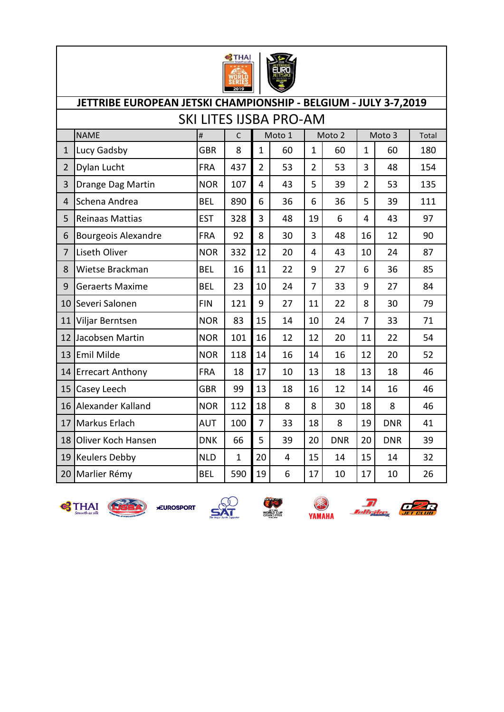

|                | JETTRIBE EUROPEAN JETSKI CHAMPIONSHIP - BELGIUM - JULY 3-7,2019<br>SKI LITES IJSBA PRO-AM |            |              |                |        |                |            |                |            |       |  |  |  |  |
|----------------|-------------------------------------------------------------------------------------------|------------|--------------|----------------|--------|----------------|------------|----------------|------------|-------|--|--|--|--|
|                |                                                                                           |            |              |                |        |                |            |                |            |       |  |  |  |  |
|                | <b>NAME</b>                                                                               | $\#$       | $\mathsf{C}$ |                | Moto 1 |                | Moto 2     |                | Moto 3     | Total |  |  |  |  |
| $\mathbf{1}$   | Lucy Gadsby                                                                               | GBR        | 8            | $\mathbf{1}$   | 60     | $\mathbf{1}$   | 60         | $\mathbf{1}$   | 60         | 180   |  |  |  |  |
| $\overline{2}$ | Dylan Lucht                                                                               | <b>FRA</b> | 437          | $\overline{2}$ | 53     | $\overline{2}$ | 53         | 3              | 48         | 154   |  |  |  |  |
| 3              | Drange Dag Martin                                                                         | <b>NOR</b> | 107          | 4              | 43     | 5              | 39         | $\overline{2}$ | 53         | 135   |  |  |  |  |
| 4              | Schena Andrea                                                                             | <b>BEL</b> | 890          | 6              | 36     | 6              | 36         | 5              | 39         | 111   |  |  |  |  |
| 5              | Reinaas Mattias                                                                           | <b>EST</b> | 328          | 3              | 48     | 19             | 6          | $\overline{4}$ | 43         | 97    |  |  |  |  |
| 6              | Bourgeois Alexandre                                                                       | <b>FRA</b> | 92           | 8              | 30     | 3              | 48         | 16             | 12         | 90    |  |  |  |  |
| $\overline{7}$ | Liseth Oliver                                                                             | <b>NOR</b> | 332          | 12             | 20     | 4              | 43         | 10             | 24         | 87    |  |  |  |  |
| 8              | Wietse Brackman                                                                           | <b>BEL</b> | 16           | 11             | 22     | 9              | 27         | 6              | 36         | 85    |  |  |  |  |
| 9              | <b>Geraerts Maxime</b>                                                                    | <b>BEL</b> | 23           | 10             | 24     | $\overline{7}$ | 33         | 9              | 27         | 84    |  |  |  |  |
| 10             | Severi Salonen                                                                            | <b>FIN</b> | 121          | 9              | 27     | 11             | 22         | 8              | 30         | 79    |  |  |  |  |
| 11             | Viljar Berntsen                                                                           | <b>NOR</b> | 83           | 15             | 14     | 10             | 24         | $\overline{7}$ | 33         | 71    |  |  |  |  |
| 12             | Jacobsen Martin                                                                           | <b>NOR</b> | 101          | 16             | 12     | 12             | 20         | 11             | 22         | 54    |  |  |  |  |
| 13             | Emil Milde                                                                                | <b>NOR</b> | 118          | 14             | 16     | 14             | 16         | 12             | 20         | 52    |  |  |  |  |
| 14             | <b>Errecart Anthony</b>                                                                   | <b>FRA</b> | 18           | 17             | 10     | 13             | 18         | 13             | 18         | 46    |  |  |  |  |
| 15             | Casey Leech                                                                               | <b>GBR</b> | 99           | 13             | 18     | 16             | 12         | 14             | 16         | 46    |  |  |  |  |
| 16             | Alexander Kalland                                                                         | <b>NOR</b> | 112          | 18             | 8      | 8              | 30         | 18             | 8          | 46    |  |  |  |  |
| 17             | Markus Erlach                                                                             | <b>AUT</b> | 100          | $\overline{7}$ | 33     | 18             | 8          | 19             | <b>DNR</b> | 41    |  |  |  |  |
| 18             | Oliver Koch Hansen                                                                        | <b>DNK</b> | 66           | 5              | 39     | 20             | <b>DNR</b> | 20             | <b>DNR</b> | 39    |  |  |  |  |
| 19             | <b>Keulers Debby</b>                                                                      | <b>NLD</b> | $\mathbf 1$  | 20             | 4      | 15             | 14         | 15             | 14         | 32    |  |  |  |  |
| 20             | Marlier Rémy                                                                              | <b>BEL</b> | 590          | 19             | 6      | 17             | 10         | 17             | 10         | 26    |  |  |  |  |









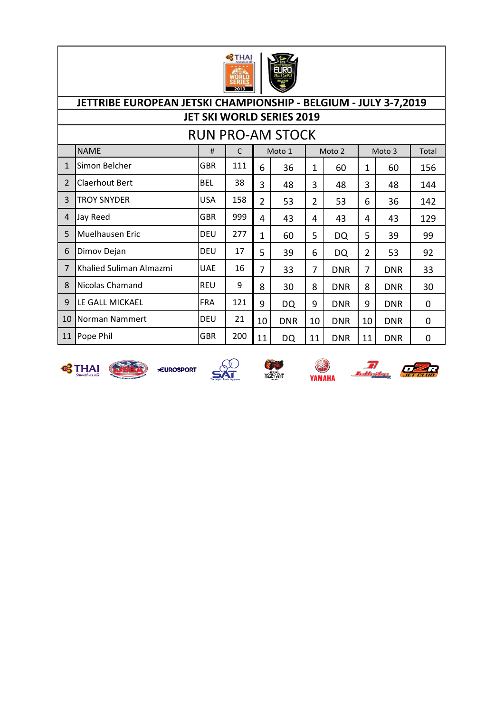

|                          |                         |            |     |                | <b>RUN PRO-AM STOCK</b> |                |            |                |            |       |
|--------------------------|-------------------------|------------|-----|----------------|-------------------------|----------------|------------|----------------|------------|-------|
|                          | <b>NAME</b>             | #          | C   |                | Moto 1                  |                | Moto 2     |                | Moto 3     | Total |
| 1                        | Simon Belcher           | GBR        | 111 | 6              | 36                      | 1              | 60         | 1              | 60         | 156   |
| $\overline{\phantom{a}}$ | Claerhout Bert          | <b>BEL</b> | 38  | 3              | 48                      | 3              | 48         | 3              | 48         | 144   |
| 3                        | <b>TROY SNYDER</b>      | <b>USA</b> | 158 | $\overline{2}$ | 53                      | $\overline{2}$ | 53         | 6              | 36         | 142   |
| $\overline{4}$           | Jay Reed                | <b>GBR</b> | 999 | 4              | 43                      | 4              | 43         | 4              | 43         | 129   |
| 5                        | Muelhausen Eric         | <b>DEU</b> | 277 | 1              | 60                      | 5              | DQ         | 5              | 39         | 99    |
| 6                        | Dimov Dejan             | <b>DEU</b> | 17  | 5              | 39                      | 6              | DQ         | $\overline{2}$ | 53         | 92    |
| 7                        | Khalied Suliman Almazmi | <b>UAE</b> | 16  | 7              | 33                      | 7              | <b>DNR</b> | 7              | <b>DNR</b> | 33    |
| 8                        | <b>Nicolas Chamand</b>  | <b>REU</b> | 9   | 8              | 30                      | 8              | <b>DNR</b> | 8              | <b>DNR</b> | 30    |
| 9                        | LE GALL MICKAEL         | <b>FRA</b> | 121 | 9              | DQ                      | 9              | <b>DNR</b> | 9              | <b>DNR</b> | 0     |
| 10                       | Norman Nammert          | <b>DEU</b> | 21  | 10             | <b>DNR</b>              | 10             | <b>DNR</b> | 10             | <b>DNR</b> | 0     |
| 11                       | Pope Phil               | <b>GBR</b> | 200 | 11             | DQ                      | 11             | <b>DNR</b> | 11             | <b>DNR</b> | 0     |











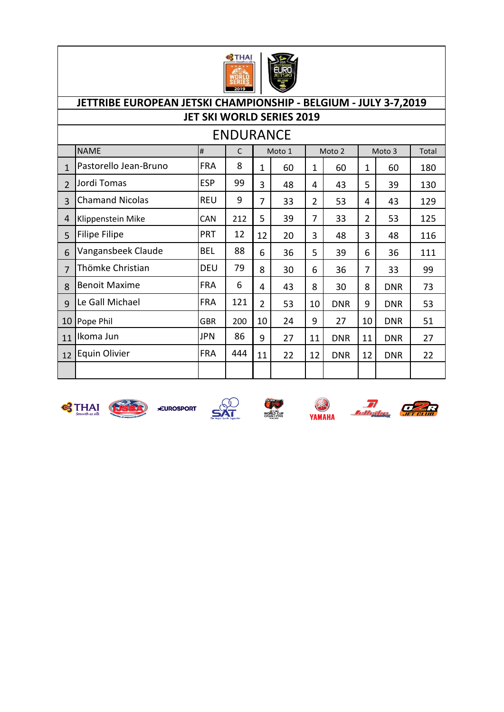

|                | <b>ENDURANCE</b><br><b>NAME</b><br>#<br>$\mathsf{C}$<br>Moto 1<br>Moto 2<br>Moto 3<br>Total |            |     |                |    |                |            |                |            |     |  |  |
|----------------|---------------------------------------------------------------------------------------------|------------|-----|----------------|----|----------------|------------|----------------|------------|-----|--|--|
|                |                                                                                             |            |     |                |    |                |            |                |            |     |  |  |
| $\mathbf{1}$   | Pastorello Jean-Bruno                                                                       | <b>FRA</b> | 8   | 1              | 60 | 1              | 60         | 1              | 60         | 180 |  |  |
| $\mathcal{P}$  | Jordi Tomas                                                                                 | <b>ESP</b> | 99  | 3              | 48 | 4              | 43         | 5              | 39         | 130 |  |  |
| $\overline{3}$ | <b>Chamand Nicolas</b>                                                                      | <b>REU</b> | 9   | 7              | 33 | $\overline{2}$ | 53         | 4              | 43         | 129 |  |  |
| 4              | Klippenstein Mike                                                                           | CAN        | 212 | 5              | 39 | 7              | 33         | $\overline{2}$ | 53         | 125 |  |  |
| 5              | <b>Filipe Filipe</b>                                                                        | <b>PRT</b> | 12  | 12             | 20 | 3              | 48         | 3              | 48         | 116 |  |  |
| 6              | Vangansbeek Claude                                                                          | <b>BEL</b> | 88  | 6              | 36 | 5              | 39         | 6              | 36         | 111 |  |  |
| $\overline{7}$ | Thömke Christian                                                                            | <b>DEU</b> | 79  | 8              | 30 | 6              | 36         | 7              | 33         | 99  |  |  |
| 8              | <b>Benoit Maxime</b>                                                                        | <b>FRA</b> | 6   | 4              | 43 | 8              | 30         | 8              | <b>DNR</b> | 73  |  |  |
| 9              | Le Gall Michael                                                                             | <b>FRA</b> | 121 | $\overline{2}$ | 53 | 10             | <b>DNR</b> | 9              | <b>DNR</b> | 53  |  |  |
| 10             | Pope Phil                                                                                   | <b>GBR</b> | 200 | 10             | 24 | 9              | 27         | 10             | <b>DNR</b> | 51  |  |  |
| 11             | Ikoma Jun                                                                                   | JPN        | 86  | 9              | 27 | 11             | <b>DNR</b> | 11             | <b>DNR</b> | 27  |  |  |
| 12             | <b>Equin Olivier</b>                                                                        | <b>FRA</b> | 444 | 11             | 22 | 12             | <b>DNR</b> | 12             | <b>DNR</b> | 22  |  |  |
|                |                                                                                             |            |     |                |    |                |            |                |            |     |  |  |



 $\mathbf{R}$   $\mathbf{R}$   $\mathbf{R}$ 







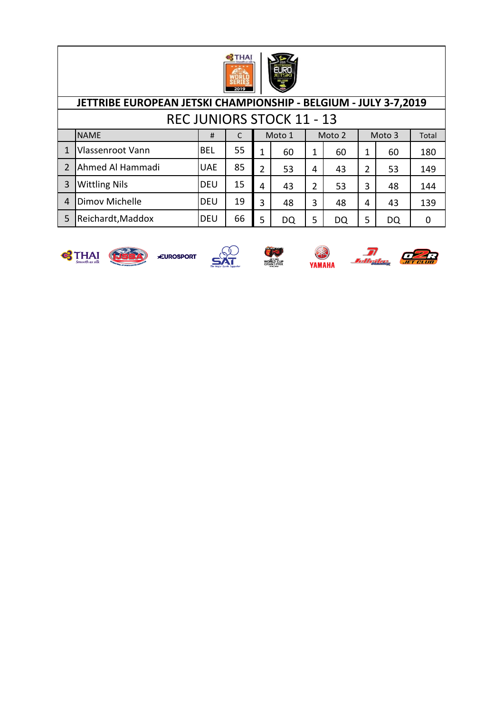

|                | JETTRIBE EUROPEAN JETSKI CHAMPIONSHIP - BELGIUM - JULY 3-7,2019 |            |    |   |                                  |   |    |   |    |     |  |  |  |
|----------------|-----------------------------------------------------------------|------------|----|---|----------------------------------|---|----|---|----|-----|--|--|--|
|                |                                                                 |            |    |   | <b>REC JUNIORS STOCK 11 - 13</b> |   |    |   |    |     |  |  |  |
|                | <b>NAME</b><br>Moto 1<br>Moto 2<br>Moto 3<br>Total<br>#         |            |    |   |                                  |   |    |   |    |     |  |  |  |
|                | Vlassenroot Vann                                                | <b>BEL</b> | 55 | 1 | 60                               | 1 | 60 | 1 | 60 | 180 |  |  |  |
| $\mathcal{P}$  | Ahmed Al Hammadi                                                | <b>UAE</b> | 85 | 2 | 53                               | 4 | 43 | 2 | 53 | 149 |  |  |  |
| 3              | <b>Wittling Nils</b>                                            | <b>DEU</b> | 15 | 4 | 43                               | 2 | 53 | 3 | 48 | 144 |  |  |  |
| $\overline{4}$ | Dimov Michelle                                                  | <b>DEU</b> | 19 | 3 | 48                               | 3 | 48 | 4 | 43 | 139 |  |  |  |
| 5              | Reichardt, Maddox                                               | <b>DEU</b> | 66 | 5 | DQ                               | 5 | DQ | 5 | DQ | 0   |  |  |  |













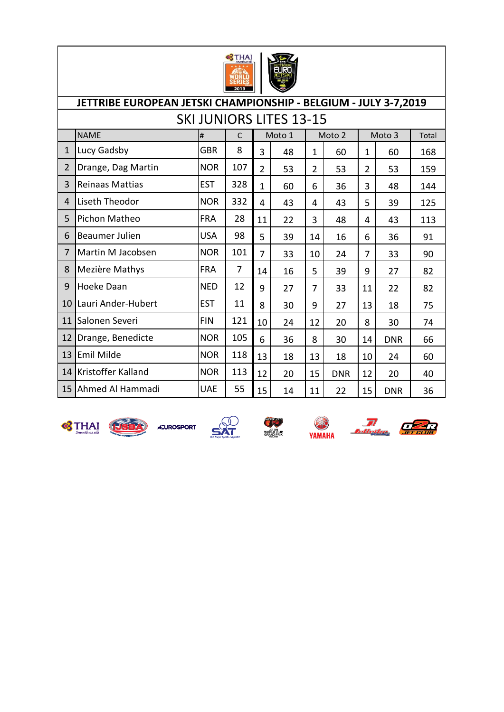

|                | JETTRIBE EUROPEAN JETSKI CHAMPIONSHIP - BELGIUM - JULY 3-7,2019 |            |                |                |        |                |            |                |            |       |  |  |  |  |
|----------------|-----------------------------------------------------------------|------------|----------------|----------------|--------|----------------|------------|----------------|------------|-------|--|--|--|--|
|                | <b>SKI JUNIORS LITES 13-15</b>                                  |            |                |                |        |                |            |                |            |       |  |  |  |  |
|                | <b>NAME</b>                                                     | #          | C              |                | Moto 1 |                | Moto 2     |                | Moto 3     | Total |  |  |  |  |
| $\mathbf{1}$   | Lucy Gadsby                                                     | GBR        | 8              | 3              | 48     | $\mathbf{1}$   | 60         | 1              | 60         | 168   |  |  |  |  |
| $\overline{2}$ | Drange, Dag Martin                                              | <b>NOR</b> | 107            | $\overline{2}$ | 53     | $\overline{2}$ | 53         | $\overline{2}$ | 53         | 159   |  |  |  |  |
| 3              | <b>Reinaas Mattias</b>                                          | <b>EST</b> | 328            | $\mathbf{1}$   | 60     | 6              | 36         | 3              | 48         | 144   |  |  |  |  |
| 4              | Liseth Theodor                                                  | <b>NOR</b> | 332            | 4              | 43     | 4              | 43         | 5              | 39         | 125   |  |  |  |  |
| 5              | Pichon Matheo                                                   | <b>FRA</b> | 28             | 11             | 22     | 3              | 48         | 4              | 43         | 113   |  |  |  |  |
| 6              | Beaumer Julien                                                  | <b>USA</b> | 98             | 5              | 39     | 14             | 16         | 6              | 36         | 91    |  |  |  |  |
| $\overline{7}$ | Martin M Jacobsen                                               | <b>NOR</b> | 101            | 7              | 33     | 10             | 24         | $\overline{7}$ | 33         | 90    |  |  |  |  |
| 8              | Mezière Mathys                                                  | <b>FRA</b> | $\overline{7}$ | 14             | 16     | 5              | 39         | 9              | 27         | 82    |  |  |  |  |
| 9              | Hoeke Daan                                                      | <b>NED</b> | 12             | 9              | 27     | $\overline{7}$ | 33         | 11             | 22         | 82    |  |  |  |  |
| 10             | Lauri Ander-Hubert                                              | <b>EST</b> | 11             | 8              | 30     | 9              | 27         | 13             | 18         | 75    |  |  |  |  |
| 11             | Salonen Severi                                                  | <b>FIN</b> | 121            | 10             | 24     | 12             | 20         | 8              | 30         | 74    |  |  |  |  |
| 12             | Drange, Benedicte                                               | <b>NOR</b> | 105            | 6              | 36     | 8              | 30         | 14             | <b>DNR</b> | 66    |  |  |  |  |
| 13             | Emil Milde                                                      | <b>NOR</b> | 118            | 13             | 18     | 13             | 18         | 10             | 24         | 60    |  |  |  |  |
| 14             | Kristoffer Kalland                                              | <b>NOR</b> | 113            | 12             | 20     | 15             | <b>DNR</b> | 12             | 20         | 40    |  |  |  |  |
| 15             | Ahmed Al Hammadi                                                | <b>UAE</b> | 55             | 15             | 14     | 11             | 22         | 15             | <b>DNR</b> | 36    |  |  |  |  |













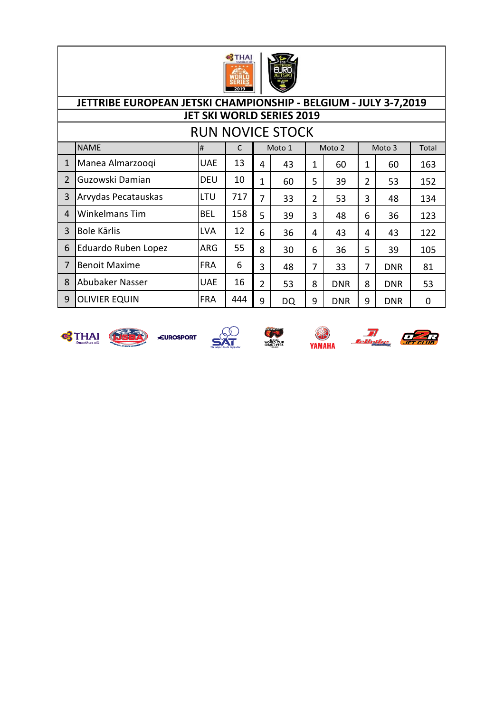

|                |                       |            |     |                | <b>RUN NOVICE STOCK</b> |   |            |   |            |       |
|----------------|-----------------------|------------|-----|----------------|-------------------------|---|------------|---|------------|-------|
|                | <b>NAME</b>           | #          |     |                | Moto 1                  |   | Moto 2     |   | Moto 3     | Total |
| $\mathbf{1}$   | Manea Almarzoogi      | <b>UAE</b> | 13  | 4              | 43                      | 1 | 60         | 1 | 60         | 163   |
| $\overline{2}$ | Guzowski Damian       | <b>DEU</b> | 10  | $\mathbf{1}$   | 60                      | 5 | 39         | 2 | 53         | 152   |
| 3              | Arvydas Pecatauskas   | LTU        | 717 | 7              | 33                      | 2 | 53         | 3 | 48         | 134   |
| $\overline{4}$ | <b>Winkelmans Tim</b> | <b>BEL</b> | 158 | 5              | 39                      | 3 | 48         | 6 | 36         | 123   |
| 3              | Bole Kārlis           | <b>LVA</b> | 12  | 6              | 36                      | 4 | 43         | 4 | 43         | 122   |
| 6              | Eduardo Ruben Lopez   | <b>ARG</b> | 55  | 8              | 30                      | 6 | 36         | 5 | 39         | 105   |
| $\overline{7}$ | <b>Benoit Maxime</b>  | <b>FRA</b> | 6   | 3              | 48                      | 7 | 33         | 7 | <b>DNR</b> | 81    |
| 8              | Abubaker Nasser       | <b>UAE</b> | 16  | $\overline{2}$ | 53                      | 8 | <b>DNR</b> | 8 | <b>DNR</b> | 53    |
| 9              | <b>OLIVIER EQUIN</b>  | <b>FRA</b> | 444 | 9              | DQ                      | 9 | <b>DNR</b> | 9 | <b>DNR</b> | 0     |











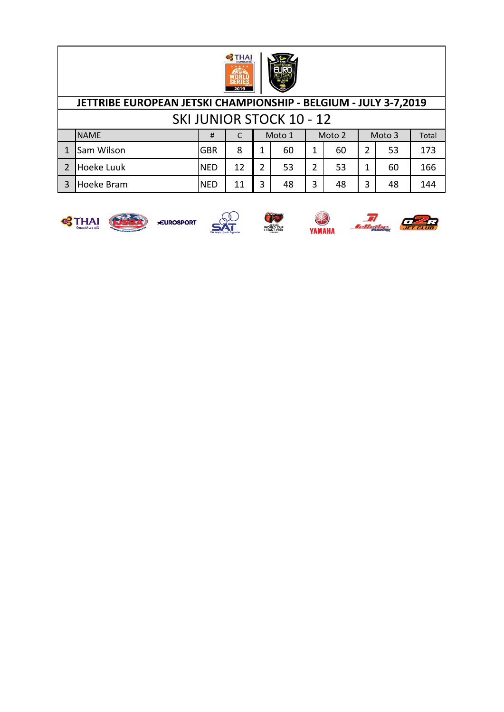

### NAME # C Total 1 Sam Wilson GBR | 8 | 1 | 60 | 1 | 60 | 2 | 53 | 173 2 Hoeke Luuk NED | 12 | 2 | 53 | 2 | 53 | 1 | 60 | 166 3 Hoeke Bram NED | 11 | 3 | 48 | 3 | 48 | 3 | 48 | 144 SKI JUNIOR STOCK 10 - 12 Moto 1 Moto 2 Moto 3 **JETTRIBE EUROPEAN JETSKI CHAMPIONSHIP - BELGIUM - JULY 3-7,2019**



**EUROSPORT** 









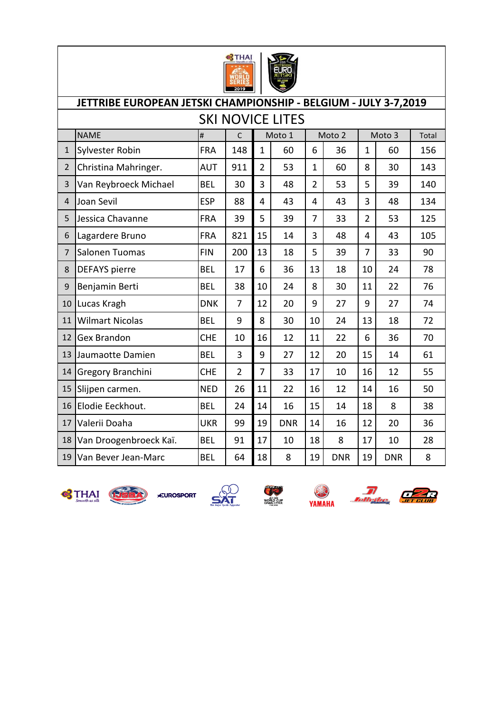

|                | JETTRIBE EUROPEAN JETSKI CHAMPIONSHIP - BELGIUM - JULY 3-7,2019 |            |                        |                |                         |                |            |                |            |     |  |  |
|----------------|-----------------------------------------------------------------|------------|------------------------|----------------|-------------------------|----------------|------------|----------------|------------|-----|--|--|
|                |                                                                 |            |                        |                | <b>SKI NOVICE LITES</b> |                |            |                |            |     |  |  |
|                | <b>NAME</b>                                                     | $\#$       | Moto 1<br>$\mathsf{C}$ |                |                         | Moto 2         |            | Moto 3         | Total      |     |  |  |
| $\mathbf{1}$   | Sylvester Robin                                                 | <b>FRA</b> | 148                    | $\mathbf{1}$   | 60                      | 6              | 36         | $\mathbf{1}$   | 60         | 156 |  |  |
| $\overline{2}$ | Christina Mahringer.                                            | AUT        | 911                    | $\overline{2}$ | 53                      | $\mathbf{1}$   | 60         | 8              | 30         | 143 |  |  |
| 3              | Van Reybroeck Michael                                           | <b>BEL</b> | 30                     | 3              | 48                      | $\overline{2}$ | 53         | 5              | 39         | 140 |  |  |
| $\overline{4}$ | Joan Sevil                                                      | <b>ESP</b> | 88                     | 4              | 43                      | 4              | 43         | 3              | 48         | 134 |  |  |
| 5              | Jessica Chavanne                                                | <b>FRA</b> | 39                     | 5              | 39                      | $\overline{7}$ | 33         | $\overline{2}$ | 53         | 125 |  |  |
| 6              | Lagardere Bruno                                                 | <b>FRA</b> | 821                    | 15             | 14                      | 3              | 48         | 4              | 43         | 105 |  |  |
| $\overline{7}$ | Salonen Tuomas                                                  | <b>FIN</b> | 200                    | 13             | 18                      | 5              | 39         | $\overline{7}$ | 33         | 90  |  |  |
| 8              | <b>DEFAYS</b> pierre                                            | <b>BEL</b> | 17                     | 6              | 36                      | 13             | 18         | 10             | 24         | 78  |  |  |
| 9              | Benjamin Berti                                                  | <b>BEL</b> | 38                     | 10             | 24                      | 8              | 30         | 11             | 22         | 76  |  |  |
| 10             | Lucas Kragh                                                     | <b>DNK</b> | $\overline{7}$         | 12             | 20                      | 9              | 27         | 9              | 27         | 74  |  |  |
| 11             | <b>Wilmart Nicolas</b>                                          | <b>BEL</b> | 9                      | 8              | 30                      | 10             | 24         | 13             | 18         | 72  |  |  |
| 12             | <b>Gex Brandon</b>                                              | <b>CHE</b> | 10                     | 16             | 12                      | 11             | 22         | 6              | 36         | 70  |  |  |
| 13             | Jaumaotte Damien                                                | <b>BEL</b> | 3                      | 9              | 27                      | 12             | 20         | 15             | 14         | 61  |  |  |
| 14             | Gregory Branchini                                               | <b>CHE</b> | $\overline{2}$         | $\overline{7}$ | 33                      | 17             | 10         | 16             | 12         | 55  |  |  |
| 15             | Slijpen carmen.                                                 | <b>NED</b> | 26                     | 11             | 22                      | 16             | 12         | 14             | 16         | 50  |  |  |
| 16             | Elodie Eeckhout.                                                | <b>BEL</b> | 24                     | 14             | 16                      | 15             | 14         | 18             | 8          | 38  |  |  |
| 17             | Valerii Doaha                                                   | <b>UKR</b> | 99                     | 19             | <b>DNR</b>              | 14             | 16         | 12             | 20         | 36  |  |  |
| 18             | Van Droogenbroeck Kaï.                                          | <b>BEL</b> | 91                     | 17             | 10                      | 18             | 8          | 17             | 10         | 28  |  |  |
| 19             | Van Bever Jean-Marc                                             | <b>BEL</b> | 64                     | 18             | 8                       | 19             | <b>DNR</b> | 19             | <b>DNR</b> | 8   |  |  |











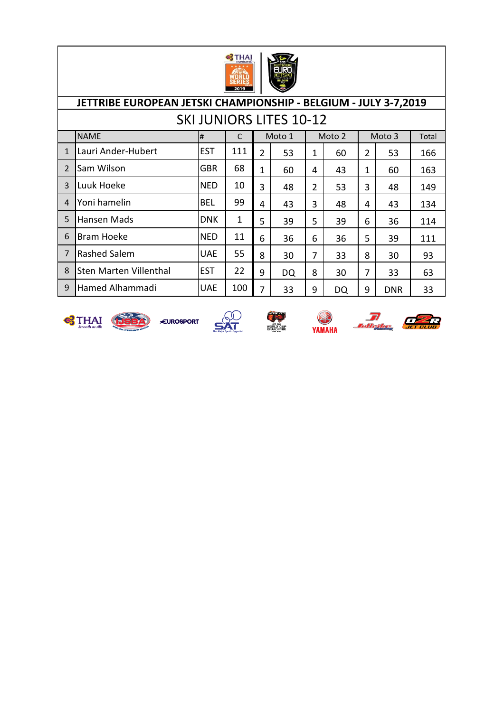

|                | JETTRIBE EUROPEAN JETSKI CHAMPIONSHIP - BELGIUM - JULY 3-7,2019 |            |     |                |    |                |    |   |            |     |  |  |
|----------------|-----------------------------------------------------------------|------------|-----|----------------|----|----------------|----|---|------------|-----|--|--|
|                | <b>SKI JUNIORS LITES 10-12</b>                                  |            |     |                |    |                |    |   |            |     |  |  |
|                | <b>NAME</b><br>Moto 1<br>Moto 2<br>Moto 3<br>#<br>C<br>Total    |            |     |                |    |                |    |   |            |     |  |  |
| $\mathbf{1}$   | Lauri Ander-Hubert                                              | <b>EST</b> | 111 | $\overline{2}$ | 53 | $\mathbf 1$    | 60 | 2 | 53         | 166 |  |  |
| 2              | Sam Wilson                                                      | <b>GBR</b> | 68  | 1              | 60 | 4              | 43 | 1 | 60         | 163 |  |  |
| 3              | Luuk Hoeke                                                      | <b>NED</b> | 10  | 3              | 48 | $\overline{2}$ | 53 | 3 | 48         | 149 |  |  |
| 4              | Yoni hamelin                                                    | <b>BEL</b> | 99  | 4              | 43 | 3              | 48 | 4 | 43         | 134 |  |  |
| 5              | Hansen Mads                                                     | <b>DNK</b> | 1   | 5              | 39 | 5              | 39 | 6 | 36         | 114 |  |  |
| 6              | <b>Bram Hoeke</b>                                               | <b>NED</b> | 11  | 6              | 36 | 6              | 36 | 5 | 39         | 111 |  |  |
| $\overline{7}$ | <b>Rashed Salem</b>                                             | <b>UAE</b> | 55  | 8              | 30 | 7              | 33 | 8 | 30         | 93  |  |  |
| 8              | <b>Sten Marten Villenthal</b>                                   | <b>EST</b> | 22  | 9              | DQ | 8              | 30 | 7 | 33         | 63  |  |  |
| 9              | Hamed Alhammadi                                                 | <b>UAE</b> | 100 | 7              | 33 | 9              | DQ | 9 | <b>DNR</b> | 33  |  |  |











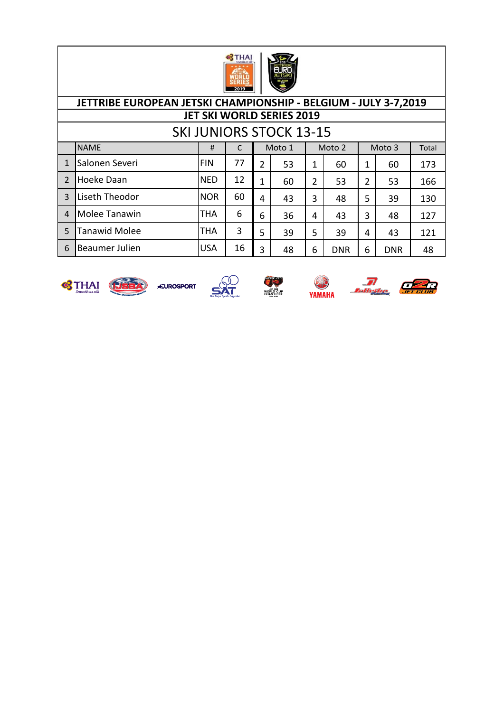

# SKI JUNIORS STOCK 13-15

|                | <b>NAME</b>          | #          |    |                | Moto 1 |   | Moto 2     |   | Moto 3     | Total |
|----------------|----------------------|------------|----|----------------|--------|---|------------|---|------------|-------|
|                | Salonen Severi       | <b>FIN</b> | 77 | $\overline{2}$ | 53     | 1 | 60         | 1 | 60         | 173   |
| $\overline{2}$ | Hoeke Daan           | <b>NED</b> | 12 | 1              | 60     | 2 | 53         | 2 | 53         | 166   |
| 3              | Liseth Theodor       | <b>NOR</b> | 60 | 4              | 43     | 3 | 48         | 5 | 39         | 130   |
| 4              | Molee Tanawin        | <b>THA</b> | 6  | 6              | 36     | 4 | 43         | 3 | 48         | 127   |
| 5              | <b>Tanawid Molee</b> | <b>THA</b> | 3  | 5              | 39     | 5 | 39         | 4 | 43         | 121   |
| 6              | Beaumer Julien       | <b>USA</b> | 16 | 3              | 48     | 6 | <b>DNR</b> | 6 | <b>DNR</b> | 48    |











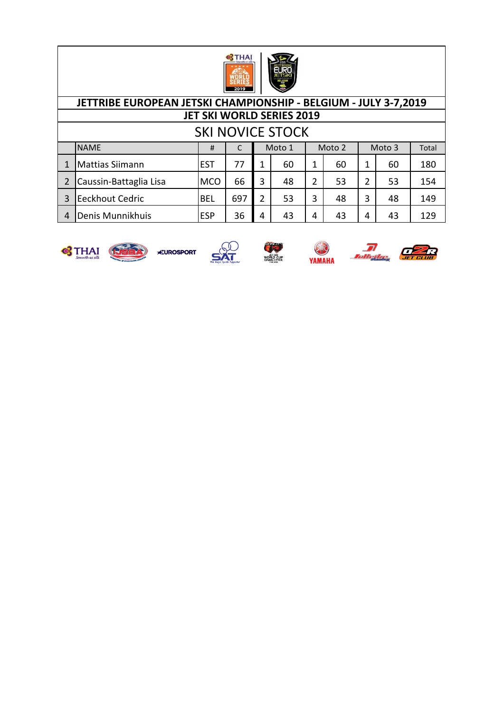

| <b>SKI NOVICE STOCK</b>                        |            |     |   |    |   |    |   |    |       |  |
|------------------------------------------------|------------|-----|---|----|---|----|---|----|-------|--|
| <b>NAME</b><br>Moto 1<br>Moto 3<br>Moto 2<br># |            |     |   |    |   |    |   |    | Total |  |
| <b>Mattias Siimann</b>                         | <b>EST</b> | 77  |   | 60 |   | 60 |   | 60 | 180   |  |
| Caussin-Battaglia Lisa                         | <b>MCO</b> | 66  | 3 | 48 | 2 | 53 | 2 | 53 | 154   |  |
| <b>Eeckhout Cedric</b>                         | <b>BEL</b> | 697 | 2 | 53 | 3 | 48 | 3 | 48 | 149   |  |
| Denis Munnikhuis                               | <b>ESP</b> | 36  |   | 43 | 4 | 43 | 4 | 43 | 129   |  |







Ø WORLD CUP<br>GRAND PRIX





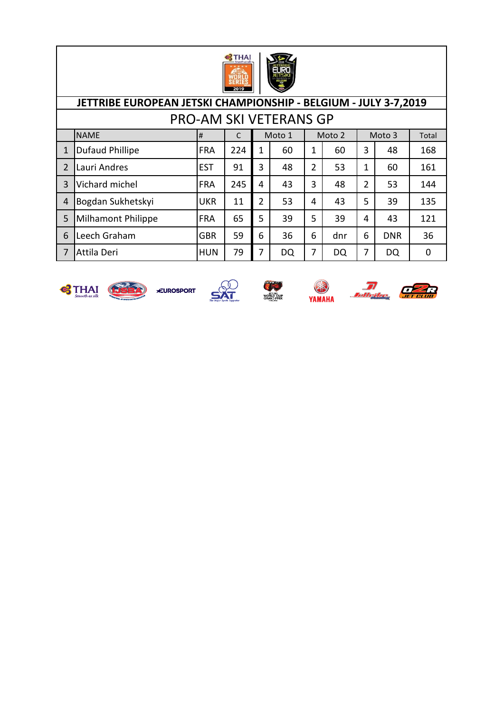

|                | JETTRIBE EUROPEAN JETSKI CHAMPIONSHIP - BELGIUM - JULY 3-7,2019 |            |     |   |    |                |     |   |            |     |  |  |
|----------------|-----------------------------------------------------------------|------------|-----|---|----|----------------|-----|---|------------|-----|--|--|
|                | <b>PRO-AM SKI VETERANS GP</b>                                   |            |     |   |    |                |     |   |            |     |  |  |
|                | <b>NAME</b><br>Moto 1<br>Moto 2<br>Moto 3<br>#<br>Total         |            |     |   |    |                |     |   |            |     |  |  |
|                | <b>Dufaud Phillipe</b>                                          | <b>FRA</b> | 224 | 1 | 60 | 1              | 60  | 3 | 48         | 168 |  |  |
| $\overline{2}$ | Lauri Andres                                                    | <b>EST</b> | 91  | 3 | 48 | $\overline{2}$ | 53  | 1 | 60         | 161 |  |  |
| 3              | Vichard michel                                                  | <b>FRA</b> | 245 | 4 | 43 | 3              | 48  | 2 | 53         | 144 |  |  |
| 4              | Bogdan Sukhetskyi                                               | <b>UKR</b> | 11  | 2 | 53 | 4              | 43  | 5 | 39         | 135 |  |  |
| 5              | <b>Milhamont Philippe</b>                                       | <b>FRA</b> | 65  | 5 | 39 | 5              | 39  | 4 | 43         | 121 |  |  |
| 6              | Leech Graham                                                    | <b>GBR</b> | 59  | 6 | 36 | 6              | dnr | 6 | <b>DNR</b> | 36  |  |  |
| 7              | Attila Deri                                                     | <b>HUN</b> | 79  | 7 | DQ | 7              | DQ  | 7 | DQ         | 0   |  |  |











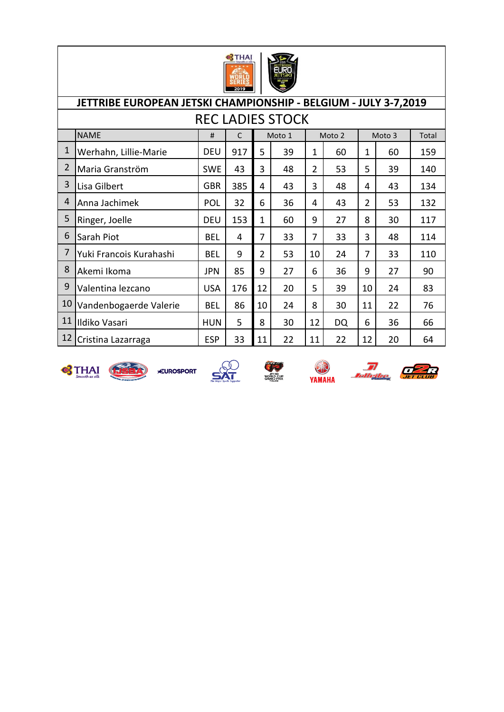

|                | JETTRIBE EUROPEAN JETSKI CHAMPIONSHIP - BELGIUM - JULY 3-7,2019     |            |     |                |    |                |           |                |    |     |  |  |
|----------------|---------------------------------------------------------------------|------------|-----|----------------|----|----------------|-----------|----------------|----|-----|--|--|
|                | <b>REC LADIES STOCK</b>                                             |            |     |                |    |                |           |                |    |     |  |  |
|                | <b>NAME</b><br>Moto 1<br>Moto 2<br>Moto 3<br>#<br>C<br><b>Total</b> |            |     |                |    |                |           |                |    |     |  |  |
| 1              | Werhahn, Lillie-Marie                                               | <b>DEU</b> | 917 | 5              | 39 | 1              | 60        | $\mathbf{1}$   | 60 | 159 |  |  |
| $\overline{2}$ | Maria Granström                                                     | <b>SWE</b> | 43  | 3              | 48 | $\overline{2}$ | 53        | 5              | 39 | 140 |  |  |
| 3              | Lisa Gilbert                                                        | <b>GBR</b> | 385 | 4              | 43 | 3              | 48        | 4              | 43 | 134 |  |  |
| 4              | Anna Jachimek                                                       | <b>POL</b> | 32  | 6              | 36 | 4              | 43        | $\overline{2}$ | 53 | 132 |  |  |
| 5              | Ringer, Joelle                                                      | <b>DEU</b> | 153 | 1              | 60 | 9              | 27        | 8              | 30 | 117 |  |  |
| 6              | Sarah Piot                                                          | BEL        | 4   | 7              | 33 | 7              | 33        | 3              | 48 | 114 |  |  |
| 7              | Yuki Francois Kurahashi                                             | BEL        | 9   | $\overline{2}$ | 53 | 10             | 24        | 7              | 33 | 110 |  |  |
| 8              | Akemi Ikoma                                                         | <b>JPN</b> | 85  | 9              | 27 | 6              | 36        | 9              | 27 | 90  |  |  |
| 9              | Valentina lezcano                                                   | <b>USA</b> | 176 | 12             | 20 | 5              | 39        | 10             | 24 | 83  |  |  |
| 10             | Vandenbogaerde Valerie                                              | <b>BEL</b> | 86  | 10             | 24 | 8              | 30        | 11             | 22 | 76  |  |  |
| 11             | <b>Ildiko Vasari</b>                                                | HUN        | 5   | 8              | 30 | 12             | <b>DQ</b> | 6              | 36 | 66  |  |  |
| 12             | Cristina Lazarraga                                                  | <b>ESP</b> | 33  | 11             | 22 | 11             | 22        | 12             | 20 | 64  |  |  |













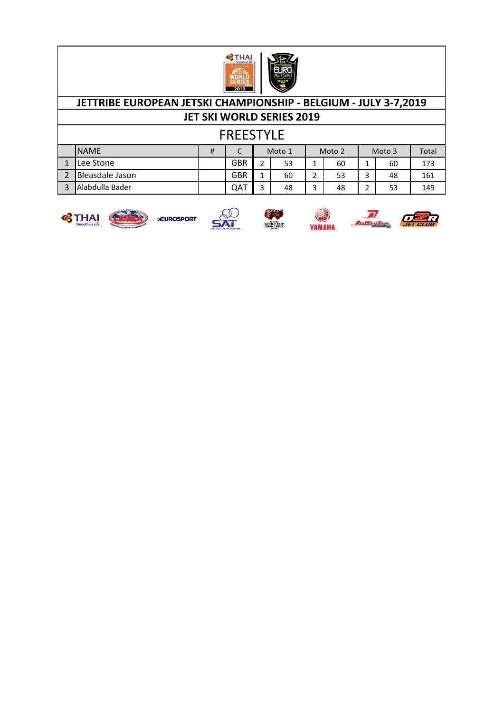

# **JETTRIBE EUROPEAN JETSKI CHAMPIONSHIP - BELGIUM - JULY 3-7,2019**

**JET SKI WORLD SERIES 2019**

| . .<br>- 1 | г, | , , , |  |
|------------|----|-------|--|
|            |    |       |  |

| <b>NAME</b>            | # | ֊          | Moto 1 |    | Moto 2 |    | Moto 3 |    | Total |
|------------------------|---|------------|--------|----|--------|----|--------|----|-------|
| Lee Stone              |   | GBR        | ∽      | 53 | -      | 60 |        | 60 | 173   |
| <b>Bleasdale Jason</b> |   | <b>GBR</b> |        | 60 | -<br>∸ | 53 | ∽      | 48 | 161   |
| Alabdulla Bader        |   | QAT        |        | 48 | ∽<br>ت | 48 | -      | 53 | 149   |



EUROSPORT







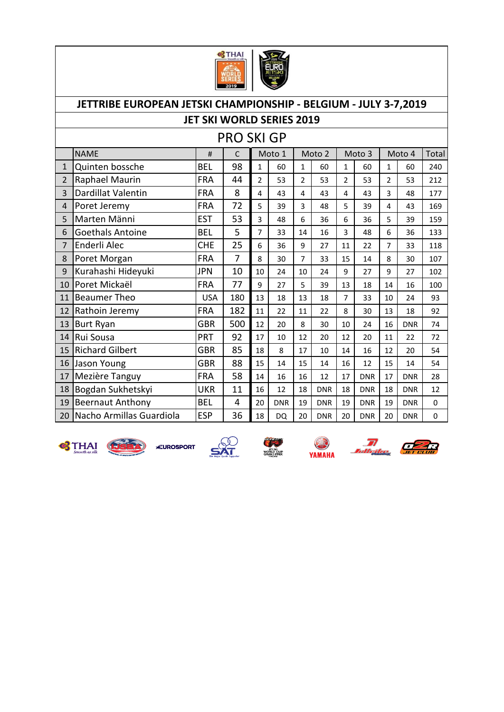

#### JETTRIBE EUROPEAN JETSKI CHAMPIONSHIP - BELGIUM - JULY 3-7,2019 **JET SKI WORLD SERIES 2019 PRO SKI GP NAME** Moto 1  $#$  $\mathsf{C}$ Moto 2 Moto 3 Moto 4 Total Quinten bossche **BEL** 98  $1$ 60 60 60  $\mathbf{1}$ 60 240  $\mathbf{1}$  $\mathbf{1}$  $\mathbf{1}$ Raphael Maurin **FRA** 44  $\overline{2}$  $\overline{2}$  $\overline{2}$  $\overline{2}$ 53 53  $\overline{2}$ 53 53 212 3 Dardillat Valentin **FRA** 8  $\overline{4}$ 43  $\overline{4}$ 43  $\overline{4}$ 43  $\overline{3}$ 48 177 4 Poret Jeremy **FRA** 72  $5<sup>1</sup>$ 39  $\overline{3}$  $5<sup>1</sup>$  $\overline{4}$ 43 169 48 39 5 Marten Männi **EST** 53  $\overline{3}$  $6<sup>1</sup>$  $\overline{5}$ 39 159 48 36 6 36 6 Goethals Antoine **BEL** 5  $\overline{7}$ 14  $\overline{3}$  $6\phantom{a}$ 33 16 48 36 133 7 Enderli Alec **CHE**  $\overline{7}$ 25  $6\overline{6}$  $\overline{9}$  $22$ 33 36 27 11 118 8 Poret Morgan **FRA**  $\overline{7}$ 8  $\overline{7}$ 8 30 33 15 14 30 107 9 Kurahashi Hideyuki **JPN** 10 10 24 10 24 9 27  $\overline{9}$ 27 102 10 Poret Mickaël **FRA** 77  $\overline{5}$ 9 27 39 13 18 14 16 100 11 Beaumer Theo **USA** 180 13  $\overline{7}$ 93 13 18 18 33 10 24 12 Rathoin Jeremy **FRA** 182 11  $22$  $11$  $22$ 8 30 13 18 92 13 Burt Ryan 500 **GBR** 12 8 20  $30<sup>°</sup>$ 10 24 16 **DNR** 74 14 Rui Sousa **PRT** 92 17 10  $12$ 20 12 20 11 72  $22$ 15 Richard Gilbert **GBR** 85 18 17  $12$ 54 8 10 14 16 20 16 Jason Young **GBR** 88 15 15 15 14 14 16 12 14 54 17 Mezière Tanguy 14 16 16  $12$ **DNR** 17 **DNR** 28 **FRA** 58 17 18 Bogdan Sukhetskyi **UKR** 11 16 12 18 **DNR** 18 **DNR** 18 **DNR** 12 19 Beernaut Anthony **BEL**  $\overline{4}$ 20 **DNR** 19 **DNR** 19 **DNR** 19 **DNR**  $\pmb{0}$ 20 Nacho Armillas Guardiola **ESP** 36 18 **DO**  $20<sup>1</sup>$ **DNR** 20 **DNR**  $20<sub>2</sub>$ **DNR**  $\mathbf{0}$



**S**THAI **DEEA EUROSPORT** 

**VORLD CUP**<br>GRAND PRIX

YAMAHA

The Cape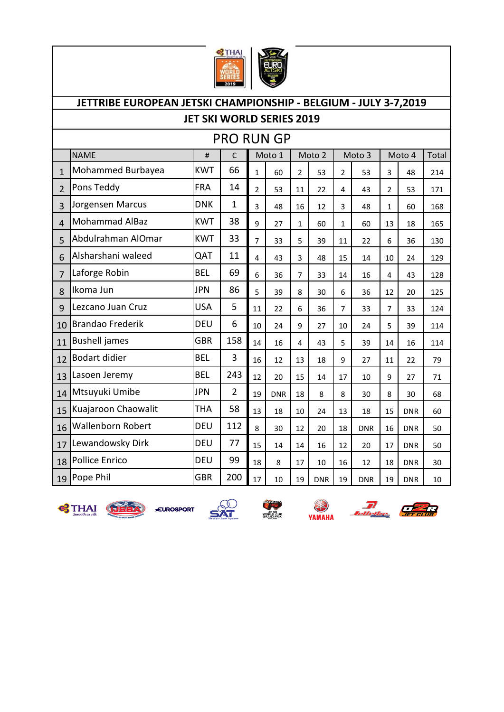



# NAME # C Total 1 Mohammed Burbayea KWT 66 1 60 2 53 2 53 3 48 214 2 Pons Teddy FRA | 14 | 2 | 53 | 11 | 22 | 4 | 43 | 2 | 53 | 171 3 Jorgensen Marcus  $|DNK|$  1 3 48 16 12 3 48 1 1 60 168 4 Mohammad AlBaz KWT 38 9 27 1 60 1 60 13 13 18 5 Abdulrahman AlOmar KWT 33 7 33 5 39 11 22 6 36 130 6 Alsharshani waleed QAT 11 4 43 3 48 15 14 10 24 129 7 Laforge Robin 8 | BEL | 69 | 6 | 36 | 7 | 33 | 14 | 16 | 4 | 43 | 128 8 Ikoma Jun JPN 86 5 39 8 30 6 36 12 20 125 9 Lezcano Juan Cruz USA 5 11 22 6 36 7 33 7 33 124 10 Brandao Frederik | DEU | 6 | 10 | 24 | 9 | 27 | 10 | 24 | 5 | 39 | 114 11 Bushell james GBR 158 14 16 4 43 5 39 14 16 114 12 Bodart didier  $|BEL| = 3$   $16$   $12$   $13$   $18$   $9$   $27$   $11$   $22$   $79$ 13 Lasoen Jeremy BEL | 243 |  $12$  |  $20$  |  $15$  |  $14$  |  $17$  |  $10$  |  $9$  |  $27$  |  $71$ 14 Mtsuyuki Umibe  $|JPN|$  2 | 19 | DNR | 18 | 8 | 30 | 8 | 30 | 68 15 Kuajaroon Chaowalit | THA | 58 | 13 | 18 | 10 | 24 | 13 | 18 | 15 | DNR | 60 16 Wallenborn Robert | DEU | 112 | 8 | 30 | 12 | 20 | 18 | DNR | 16 | DNR | 50 17 Lewandowsky Dirk  $|DEU|$  77 | 15 | 14 | 14 | 16 | 12 | 20 | 17 | DNR | 50 18 Pollice Enrico DEU 99 18 8 17 10 16 12 18 DNR 30 19 Pope Phil GBR 200 17 10 19 DNR 19 DNR 19 DNR 10 **JETTRIBE EUROPEAN JETSKI CHAMPIONSHIP - BELGIUM - JULY 3-7,2019** PRO RUN GP Moto 1 | Moto 2 | Moto 3 | Moto 4 **JET SKI WORLD SERIES 2019**









YAMAHA

The Community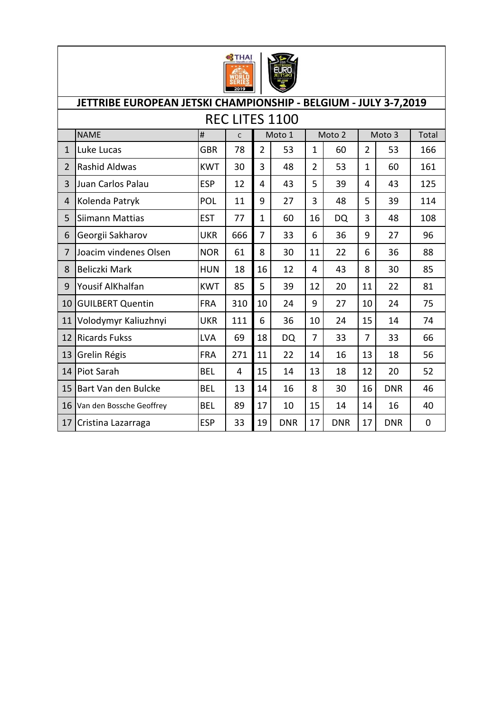

|                | JETTRIBE EUROPEAN JETSKI CHAMPIONSHIP - BELGIUM - JULY 3-7,2019 |            |              |                |            |                |            |                |            |           |  |  |
|----------------|-----------------------------------------------------------------|------------|--------------|----------------|------------|----------------|------------|----------------|------------|-----------|--|--|
|                | <b>REC LITES 1100</b>                                           |            |              |                |            |                |            |                |            |           |  |  |
|                | <b>NAME</b>                                                     | $\#$       | $\mathsf{C}$ |                | Moto 1     |                | Moto 2     |                | Moto 3     | Total     |  |  |
| $\mathbf{1}$   | Luke Lucas                                                      | GBR        | 78           | $\overline{2}$ | 53         | $\mathbf{1}$   | 60         | $\overline{2}$ | 53         | 166       |  |  |
| $\overline{2}$ | <b>Rashid Aldwas</b>                                            | <b>KWT</b> | 30           | 3              | 48         | $\overline{2}$ | 53         | $\mathbf{1}$   | 60         | 161       |  |  |
| 3              | Juan Carlos Palau                                               | <b>ESP</b> | 12           | 4              | 43         | 5              | 39         | 4              | 43         | 125       |  |  |
| 4              | Kolenda Patryk                                                  | POL        | 11           | 9              | 27         | 3              | 48         | 5              | 39         | 114       |  |  |
| 5              | Siimann Mattias                                                 | <b>EST</b> | 77           | $\mathbf{1}$   | 60         | 16             | DQ         | 3              | 48         | 108       |  |  |
| 6              | Georgii Sakharov                                                | UKR        | 666          | $\overline{7}$ | 33         | 6              | 36         | 9              | 27         | 96        |  |  |
| $\overline{7}$ | Joacim vindenes Olsen                                           | <b>NOR</b> | 61           | 8              | 30         | 11             | 22         | 6              | 36         | 88        |  |  |
| 8              | Beliczki Mark                                                   | <b>HUN</b> | 18           | 16             | 12         | 4              | 43         | 8              | 30         | 85        |  |  |
| 9              | Yousif AlKhalfan                                                | <b>KWT</b> | 85           | 5              | 39         | 12             | 20         | 11             | 22         | 81        |  |  |
| 10             | <b>GUILBERT Quentin</b>                                         | <b>FRA</b> | 310          | 10             | 24         | 9              | 27         | 10             | 24         | 75        |  |  |
| 11             | Volodymyr Kaliuzhnyi                                            | <b>UKR</b> | 111          | 6              | 36         | 10             | 24         | 15             | 14         | 74        |  |  |
| 12             | <b>Ricards Fukss</b>                                            | LVA        | 69           | 18             | <b>DQ</b>  | $\overline{7}$ | 33         | 7              | 33         | 66        |  |  |
| 13             | Grelin Régis                                                    | <b>FRA</b> | 271          | 11             | 22         | 14             | 16         | 13             | 18         | 56        |  |  |
| 14             | Piot Sarah                                                      | <b>BEL</b> | 4            | 15             | 14         | 13             | 18         | 12             | 20         | 52        |  |  |
| 15             | Bart Van den Bulcke                                             | <b>BEL</b> | 13           | 14             | 16         | 8              | 30         | 16             | <b>DNR</b> | 46        |  |  |
| 16             | Van den Bossche Geoffrey                                        | <b>BEL</b> | 89           | 17             | 10         | 15             | 14         | 14             | 16         | 40        |  |  |
| 17             | Cristina Lazarraga                                              | <b>ESP</b> | 33           | 19             | <b>DNR</b> | 17             | <b>DNR</b> | 17             | <b>DNR</b> | $\pmb{0}$ |  |  |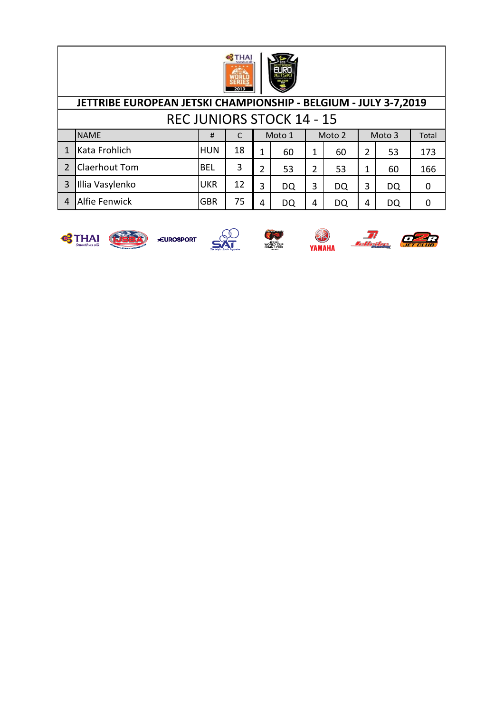

|   | JETTRIBE EUROPEAN JETSKI CHAMPIONSHIP - BELGIUM - JULY 3-7,2019 |            |    |   |    |   |    |                |           |     |  |  |
|---|-----------------------------------------------------------------|------------|----|---|----|---|----|----------------|-----------|-----|--|--|
|   | <b>REC JUNIORS STOCK 14 - 15</b>                                |            |    |   |    |   |    |                |           |     |  |  |
|   | <b>NAME</b><br>Moto 1<br>Moto 2<br>Moto 3<br>Total<br>#         |            |    |   |    |   |    |                |           |     |  |  |
|   | Kata Frohlich                                                   | <b>HUN</b> | 18 | 1 | 60 | 1 | 60 | $\overline{2}$ | 53        | 173 |  |  |
|   | <b>Claerhout Tom</b>                                            | <b>BEL</b> | 3  | 2 | 53 | 2 | 53 | 1              | 60        | 166 |  |  |
| 3 | Illia Vasylenko                                                 | <b>UKR</b> | 12 | 3 | DQ | 3 | DQ | 3              | <b>DQ</b> | 0   |  |  |
|   | <b>Alfie Fenwick</b>                                            | <b>GBR</b> | 75 | 4 | DQ | 4 | DQ | 4              | DQ        |     |  |  |







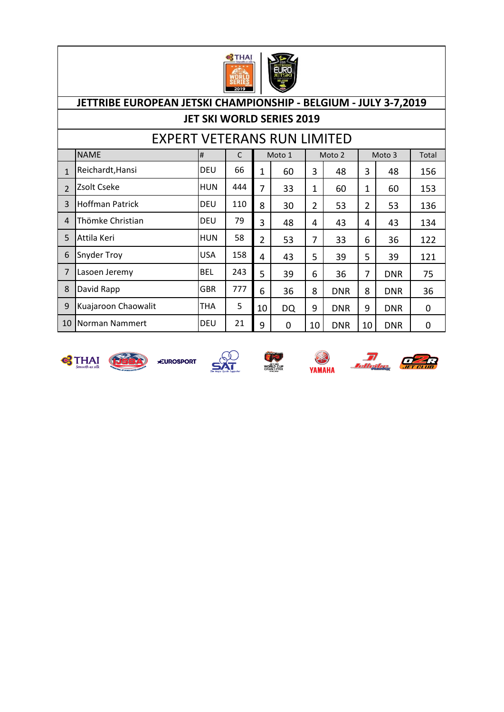

# NAME # C Total 1 Reichardt,Hansi DEU 66 1 60 3 48 3 48 156 2 Zsolt Cseke HUN | 444 | 7 | 33 | 1 | 60 | 1 | 60 | 153 3 Hoffman Patrick DEU 110 8 30 2 53 2 53 136 4 Thömke Christian DEU 79 3 48 4 43 4 43 134 5 Attila Keri HUN 58 2 53 7 33 6 36 122 6 Snyder Troy USA | 158 | 4 | 43 | 5 | 39 | 5 | 39 | 121 7 Lasoen Jeremy 8EL | 243 | 5 | 39 | 6 | 36 | 7 | DNR | 75 8 David Rapp GBR | 777 | 6 | 36 | 8 | DNR | 8 | DNR | 36 9 Kuajaroon Chaowalit | THA | 5 | 10 | DQ | 9 | DNR | 9 | DNR | 0 10 Norman Nammert DEU 21 9 0 10 DNR 10 DNR 0 EXPERT VETERANS RUN LIMITED Moto 1 Moto 2 Moto 3 **JETTRIBE EUROPEAN JETSKI CHAMPIONSHIP - BELGIUM - JULY 3-7,2019 JET SKI WORLD SERIES 2019**